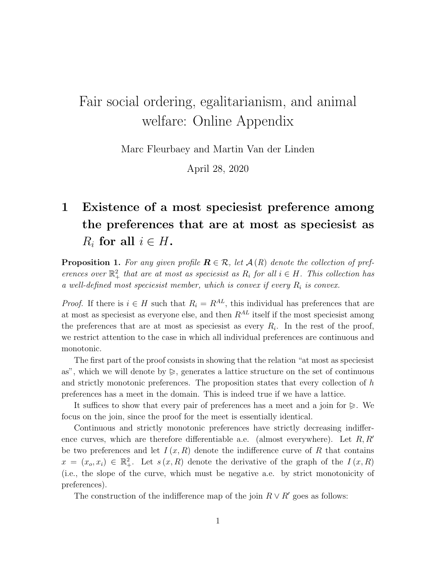## Fair social ordering, egalitarianism, and animal welfare: Online Appendix

Marc Fleurbaey and Martin Van der Linden

April 28, 2020

## 1 Existence of a most speciesist preference among the preferences that are at most as speciesist as  $R_i$  for all  $i \in H$ .

**Proposition 1.** For any given profile  $\mathbf{R} \in \mathcal{R}$ , let  $\mathcal{A}(R)$  denote the collection of preferences over  $\mathbb{R}^2_+$  that are at most as species is as  $R_i$  for all  $i \in H$ . This collection has a well-defined most speciesist member, which is convex if every  $R_i$  is convex.

*Proof.* If there is  $i \in H$  such that  $R_i = R^{AL}$ , this individual has preferences that are at most as speciesist as everyone else, and then  $R^{AL}$  itself if the most speciesist among the preferences that are at most as species is as every  $R_i$ . In the rest of the proof, we restrict attention to the case in which all individual preferences are continuous and monotonic.

The first part of the proof consists in showing that the relation "at most as speciesist as", which we will denote by  $\geqslant$ , generates a lattice structure on the set of continuous and strictly monotonic preferences. The proposition states that every collection of h preferences has a meet in the domain. This is indeed true if we have a lattice.

It suffices to show that every pair of preferences has a meet and a join for  $\triangleright$ . We focus on the join, since the proof for the meet is essentially identical.

Continuous and strictly monotonic preferences have strictly decreasing indifference curves, which are therefore differentiable a.e. (almost everywhere). Let  $R, R'$ be two preferences and let  $I(x, R)$  denote the indifference curve of R that contains  $x = (x_o, x_i) \in \mathbb{R}^2_+$ . Let  $s(x, R)$  denote the derivative of the graph of the  $I(x, R)$ (i.e., the slope of the curve, which must be negative a.e. by strict monotonicity of preferences).

The construction of the indifference map of the join  $R \vee R'$  goes as follows: